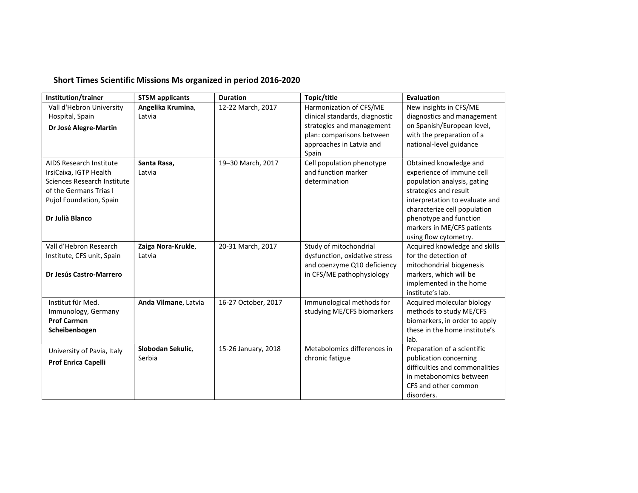## Short Times Scientific Missions Ms organized in period 2016-2020

| Institution/trainer            | <b>STSM applicants</b> | <b>Duration</b>     | Topic/title                    | <b>Evaluation</b>              |
|--------------------------------|------------------------|---------------------|--------------------------------|--------------------------------|
| Vall d'Hebron University       | Angelika Krumina,      | 12-22 March, 2017   | Harmonization of CFS/ME        | New insights in CFS/ME         |
| Hospital, Spain                | Latvia                 |                     | clinical standards, diagnostic | diagnostics and management     |
| Dr José Alegre-Martin          |                        |                     | strategies and management      | on Spanish/European level,     |
|                                |                        |                     | plan: comparisons between      | with the preparation of a      |
|                                |                        |                     | approaches in Latvia and       | national-level guidance        |
|                                |                        |                     | Spain                          |                                |
| <b>AIDS Research Institute</b> | Santa Rasa,            | 19-30 March, 2017   | Cell population phenotype      | Obtained knowledge and         |
| IrsiCaixa, IGTP Health         | Latvia                 |                     | and function marker            | experience of immune cell      |
| Sciences Research Institute    |                        |                     | determination                  | population analysis, gating    |
| of the Germans Trias I         |                        |                     |                                | strategies and result          |
| Pujol Foundation, Spain        |                        |                     |                                | interpretation to evaluate and |
|                                |                        |                     |                                | characterize cell population   |
| Dr Julià Blanco                |                        |                     |                                | phenotype and function         |
|                                |                        |                     |                                | markers in ME/CFS patients     |
|                                |                        |                     |                                | using flow cytometry.          |
| Vall d'Hebron Research         | Zaiga Nora-Krukle,     | 20-31 March, 2017   | Study of mitochondrial         | Acquired knowledge and skills  |
| Institute, CFS unit, Spain     | Latvia                 |                     | dysfunction, oxidative stress  | for the detection of           |
|                                |                        |                     | and coenzyme Q10 deficiency    | mitochondrial biogenesis       |
| Dr Jesús Castro-Marrero        |                        |                     | in CFS/ME pathophysiology      | markers, which will be         |
|                                |                        |                     |                                | implemented in the home        |
|                                |                        |                     |                                | institute's lab.               |
| Institut für Med.              | Anda Vilmane, Latvia   | 16-27 October, 2017 | Immunological methods for      | Acquired molecular biology     |
| Immunology, Germany            |                        |                     | studying ME/CFS biomarkers     | methods to study ME/CFS        |
| <b>Prof Carmen</b>             |                        |                     |                                | biomarkers, in order to apply  |
| Scheibenbogen                  |                        |                     |                                | these in the home institute's  |
|                                |                        |                     |                                | lab.                           |
| University of Pavia, Italy     | Slobodan Sekulic,      | 15-26 January, 2018 | Metabolomics differences in    | Preparation of a scientific    |
| Prof Enrica Capelli            | Serbia                 |                     | chronic fatigue                | publication concerning         |
|                                |                        |                     |                                | difficulties and commonalities |
|                                |                        |                     |                                | in metabonomics between        |
|                                |                        |                     |                                | CFS and other common           |
|                                |                        |                     |                                | disorders.                     |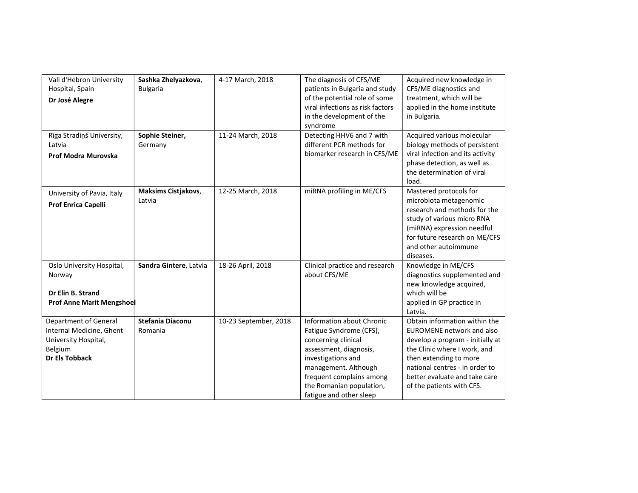| Vall d'Hebron University<br>Hospital, Spain<br>Dr José Alegre                                                 | Sashka Zhelyazkova,<br><b>Bulgaria</b> | 4-17 March, 2018      | The diagnosis of CFS/ME<br>patients in Bulgaria and study<br>of the potential role of some<br>viral infections as risk factors<br>in the development of the<br>syndrome                                                                       | Acquired new knowledge in<br>CFS/ME diagnostics and<br>treatment, which will be<br>applied in the home institute<br>in Bulgaria.                                                                                                                         |
|---------------------------------------------------------------------------------------------------------------|----------------------------------------|-----------------------|-----------------------------------------------------------------------------------------------------------------------------------------------------------------------------------------------------------------------------------------------|----------------------------------------------------------------------------------------------------------------------------------------------------------------------------------------------------------------------------------------------------------|
| Rīga Stradiņš University,<br>Latvia<br>Prof Modra Murovska                                                    | Sophie Steiner,<br>Germany             | 11-24 March, 2018     | Detecting HHV6 and 7 with<br>different PCR methods for<br>biomarker research in CFS/ME                                                                                                                                                        | Acquired various molecular<br>biology methods of persistent<br>viral infection and its activity<br>phase detection, as well as<br>the determination of viral<br>load.                                                                                    |
| University of Pavia, Italy<br>Prof Enrica Capelli                                                             | Maksims Cistjakovs,<br>Latvia          | 12-25 March, 2018     | miRNA profiling in ME/CFS                                                                                                                                                                                                                     | Mastered protocols for<br>microbiota metagenomic<br>research and methods for the<br>study of various micro RNA<br>(miRNA) expression needful<br>for future research on ME/CFS<br>and other autoimmune<br>diseases.                                       |
| Oslo University Hospital,<br>Norway<br>Dr Elin B. Strand<br><b>Prof Anne Marit Mengshoel</b>                  | Sandra Gintere, Latvia                 | 18-26 April, 2018     | Clinical practice and research<br>about CFS/ME                                                                                                                                                                                                | Knowledge in ME/CFS<br>diagnostics supplemented and<br>new knowledge acquired,<br>which will be<br>applied in GP practice in<br>Latvia.                                                                                                                  |
| Department of General<br>Internal Medicine, Ghent<br>University Hospital,<br>Belgium<br><b>Dr Els Tobback</b> | <b>Stefania Diaconu</b><br>Romania     | 10-23 September, 2018 | <b>Information about Chronic</b><br>Fatigue Syndrome (CFS),<br>concerning clinical<br>assessment, diagnosis,<br>investigations and<br>management. Although<br>frequent complains among<br>the Romanian population,<br>fatigue and other sleep | Obtain information within the<br>EUROMENE network and also<br>develop a program - initially at<br>the Clinic where I work, and<br>then extending to more<br>national centres - in order to<br>better evaluate and take care<br>of the patients with CFS. |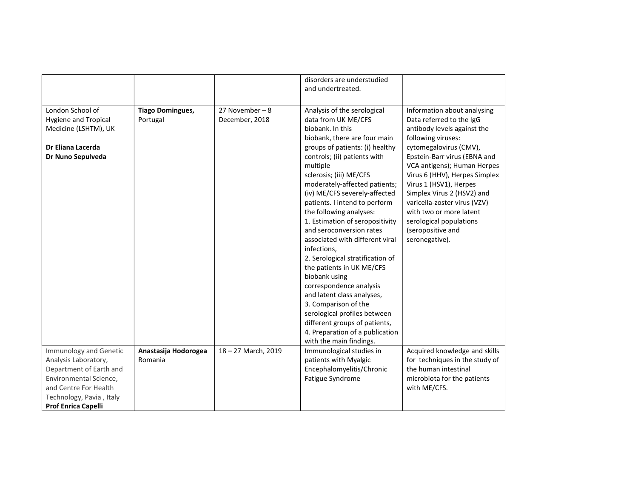|                                                                                                                   |                                     |                                    | disorders are understudied<br>and undertreated.                                                                                                                                                                                                                                                                                                                                                                                                                                                                                                                                                                                                                                                                                                                   |                                                                                                                                                                                                                                                                                                                                                                                                                             |
|-------------------------------------------------------------------------------------------------------------------|-------------------------------------|------------------------------------|-------------------------------------------------------------------------------------------------------------------------------------------------------------------------------------------------------------------------------------------------------------------------------------------------------------------------------------------------------------------------------------------------------------------------------------------------------------------------------------------------------------------------------------------------------------------------------------------------------------------------------------------------------------------------------------------------------------------------------------------------------------------|-----------------------------------------------------------------------------------------------------------------------------------------------------------------------------------------------------------------------------------------------------------------------------------------------------------------------------------------------------------------------------------------------------------------------------|
| London School of<br><b>Hygiene and Tropical</b><br>Medicine (LSHTM), UK<br>Dr Eliana Lacerda<br>Dr Nuno Sepulveda | <b>Tiago Domingues,</b><br>Portugal | 27 November $-8$<br>December, 2018 | Analysis of the serological<br>data from UK ME/CFS<br>biobank. In this<br>biobank, there are four main<br>groups of patients: (i) healthy<br>controls; (ii) patients with<br>multiple<br>sclerosis; (iii) ME/CFS<br>moderately-affected patients;<br>(iv) ME/CFS severely-affected<br>patients. I intend to perform<br>the following analyses:<br>1. Estimation of seropositivity<br>and seroconversion rates<br>associated with different viral<br>infections,<br>2. Serological stratification of<br>the patients in UK ME/CFS<br>biobank using<br>correspondence analysis<br>and latent class analyses,<br>3. Comparison of the<br>serological profiles between<br>different groups of patients,<br>4. Preparation of a publication<br>with the main findings. | Information about analysing<br>Data referred to the IgG<br>antibody levels against the<br>following viruses:<br>cytomegalovirus (CMV),<br>Epstein-Barr virus (EBNA and<br>VCA antigens); Human Herpes<br>Virus 6 (HHV), Herpes Simplex<br>Virus 1 (HSV1), Herpes<br>Simplex Virus 2 (HSV2) and<br>varicella-zoster virus (VZV)<br>with two or more latent<br>serological populations<br>(seropositive and<br>seronegative). |
| Immunology and Genetic<br>Analysis Laboratory,                                                                    | Anastasija Hodorogea<br>Romania     | 18-27 March, 2019                  | Immunological studies in<br>patients with Myalgic                                                                                                                                                                                                                                                                                                                                                                                                                                                                                                                                                                                                                                                                                                                 | Acquired knowledge and skills<br>for techniques in the study of                                                                                                                                                                                                                                                                                                                                                             |
| Department of Earth and                                                                                           |                                     |                                    | Encephalomyelitis/Chronic                                                                                                                                                                                                                                                                                                                                                                                                                                                                                                                                                                                                                                                                                                                                         | the human intestinal                                                                                                                                                                                                                                                                                                                                                                                                        |
| Environmental Science,                                                                                            |                                     |                                    | Fatigue Syndrome                                                                                                                                                                                                                                                                                                                                                                                                                                                                                                                                                                                                                                                                                                                                                  | microbiota for the patients                                                                                                                                                                                                                                                                                                                                                                                                 |
| and Centre For Health                                                                                             |                                     |                                    |                                                                                                                                                                                                                                                                                                                                                                                                                                                                                                                                                                                                                                                                                                                                                                   | with ME/CFS.                                                                                                                                                                                                                                                                                                                                                                                                                |
| Technology, Pavia, Italy                                                                                          |                                     |                                    |                                                                                                                                                                                                                                                                                                                                                                                                                                                                                                                                                                                                                                                                                                                                                                   |                                                                                                                                                                                                                                                                                                                                                                                                                             |
| Prof Enrica Capelli                                                                                               |                                     |                                    |                                                                                                                                                                                                                                                                                                                                                                                                                                                                                                                                                                                                                                                                                                                                                                   |                                                                                                                                                                                                                                                                                                                                                                                                                             |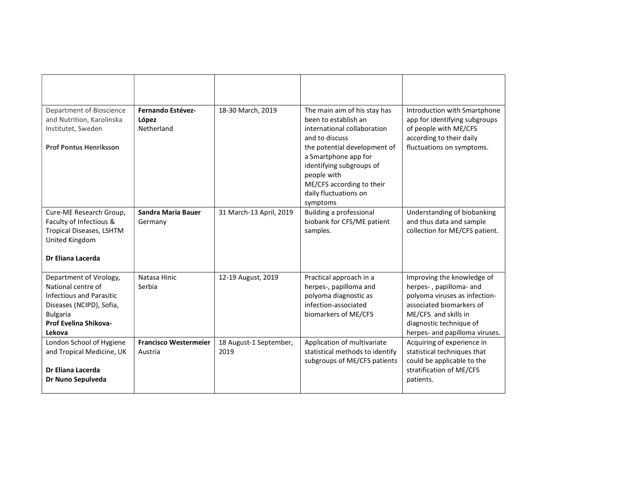| Department of Bioscience<br>and Nutrition, Karolinska<br>Institutet, Sweden<br><b>Prof Pontus Henriksson</b>                                                | Fernando Estévez-<br>López<br>Netherland | 18-30 March, 2019              | The main aim of his stay has<br>been to establish an<br>international collaboration<br>and to discuss<br>the potential development of<br>a Smartphone app for<br>identifying subgroups of<br>people with<br>ME/CFS according to their<br>daily fluctuations on<br>symptoms | Introduction with Smartphone<br>app for identifying subgroups<br>of people with ME/CFS<br>according to their daily<br>fluctuations on symptoms.                                                         |
|-------------------------------------------------------------------------------------------------------------------------------------------------------------|------------------------------------------|--------------------------------|----------------------------------------------------------------------------------------------------------------------------------------------------------------------------------------------------------------------------------------------------------------------------|---------------------------------------------------------------------------------------------------------------------------------------------------------------------------------------------------------|
| Cure-ME Research Group,<br>Faculty of Infectious &<br>Tropical Diseases, LSHTM<br>United Kingdom<br>Dr Eliana Lacerda                                       | Sandra Maria Bauer<br>Germany            | 31 March-13 April, 2019        | <b>Building a professional</b><br>biobank for CFS/ME patient<br>samples.                                                                                                                                                                                                   | Understanding of biobanking<br>and thus data and sample<br>collection for ME/CFS patient.                                                                                                               |
| Department of Virology,<br>National centre of<br>Infectious and Parasitic<br>Diseases (NCIPD), Sofia,<br><b>Bulgaria</b><br>Prof Evelina Shikova-<br>Lekova | Natasa Hinic<br>Serbia                   | 12-19 August, 2019             | Practical approach in a<br>herpes-, papilloma and<br>polyoma diagnostic as<br>infection-associated<br>biomarkers of ME/CFS                                                                                                                                                 | Improving the knowledge of<br>herpes-, papilloma- and<br>polyoma viruses as infection-<br>associated biomarkers of<br>ME/CFS and skills in<br>diagnostic technique of<br>herpes- and papilloma viruses. |
| London School of Hygiene<br>and Tropical Medicine, UK<br>Dr Eliana Lacerda<br>Dr Nuno Sepulveda                                                             | <b>Francisco Westermeier</b><br>Austria  | 18 August-1 September,<br>2019 | Application of multivariate<br>statistical methods to identify<br>subgroups of ME/CFS patients                                                                                                                                                                             | Acquiring of experience in<br>statistical techniques that<br>could be applicable to the<br>stratification of ME/CFS<br>patients.                                                                        |